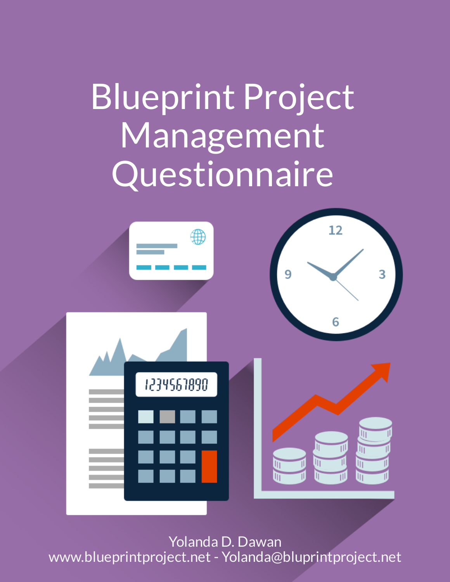# Blueprint Project **Management** Questionnaire



Yolanda D. Dawan www.blueprintproject.net - Yolanda@bluprintproject.net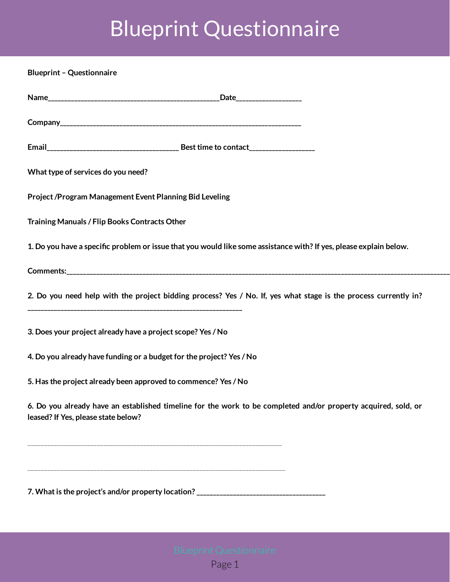### Blueprint Questionnaire

**Blueprint – Questionnaire**

| What type of services do you need?                                                                                                                    |
|-------------------------------------------------------------------------------------------------------------------------------------------------------|
| Project /Program Management Event Planning Bid Leveling                                                                                               |
| Training Manuals / Flip Books Contracts Other                                                                                                         |
| 1. Do you have a specific problem or issue that you would like some assistance with? If yes, please explain below.                                    |
|                                                                                                                                                       |
| 2. Do you need help with the project bidding process? Yes / No. If, yes what stage is the process currently in?                                       |
| 3. Does your project already have a project scope? Yes / No                                                                                           |
| 4. Do you already have funding or a budget for the project? Yes / No                                                                                  |
| 5. Has the project already been approved to commence? Yes / No                                                                                        |
| 6. Do you already have an established timeline for the work to be completed and/or property acquired, sold, or<br>leased? If Yes, please state below? |
|                                                                                                                                                       |
|                                                                                                                                                       |
| 7. What is the project's and/or property location? ______________________________                                                                     |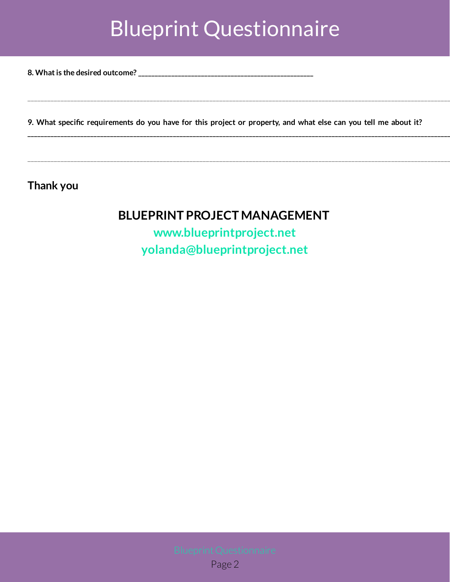#### Blueprint Questionnaire

**8. What is the desired outcome? \_\_\_\_\_\_\_\_\_\_\_\_\_\_\_\_\_\_\_\_\_\_\_\_\_\_\_\_\_\_\_\_\_\_\_\_\_\_\_\_\_\_\_\_\_\_\_\_\_\_\_\_\_**

9. What specific requirements do you have for this project or property, and what else can you tell me about it?

\_\_\_\_\_\_\_\_\_\_\_\_\_\_\_\_\_\_\_\_\_\_\_\_\_\_\_\_\_\_\_\_\_\_\_\_\_\_\_\_\_\_\_\_\_\_\_\_\_\_\_\_\_\_\_\_\_\_\_\_\_\_\_\_\_\_\_\_\_\_\_\_\_\_\_\_\_\_\_\_\_\_\_\_\_\_\_\_\_\_\_\_\_\_\_\_\_\_\_\_\_\_\_\_\_\_\_\_\_\_\_\_\_\_\_\_\_\_\_\_\_\_\_\_\_\_\_\_

**\_\_\_\_\_\_\_\_\_\_\_\_\_\_\_\_\_\_\_\_\_\_\_\_\_\_\_\_\_\_\_\_\_\_\_\_\_\_\_\_\_\_\_\_\_\_\_\_\_\_\_\_\_\_\_\_\_\_\_\_\_\_\_\_\_\_\_\_\_\_\_\_\_\_\_\_\_\_\_\_\_\_\_\_\_\_\_\_\_\_\_\_\_\_\_\_\_\_\_\_\_\_\_\_\_\_\_\_\_\_\_\_\_\_\_\_\_\_\_\_\_\_\_\_\_\_\_\_**

\_\_\_\_\_\_\_\_\_\_\_\_\_\_\_\_\_\_\_\_\_\_\_\_\_\_\_\_\_\_\_\_\_\_\_\_\_\_\_\_\_\_\_\_\_\_\_\_\_\_\_\_\_\_\_\_\_\_\_\_\_\_\_\_\_\_\_\_\_\_\_\_\_\_\_\_\_\_\_\_\_\_\_\_\_\_\_\_\_\_\_\_\_\_\_\_\_\_\_\_\_\_\_\_\_\_\_\_\_\_\_\_\_\_\_\_\_\_\_\_\_\_\_\_\_\_\_\_

**Thank you**

#### **BLUEPRINT PROJECT MANAGEMENT**

**[www.blueprintproject.net](https://www.blueprintproject.net/) [yolanda@blueprintproject.net](mailto:yolanda@blueprintproject.net)**